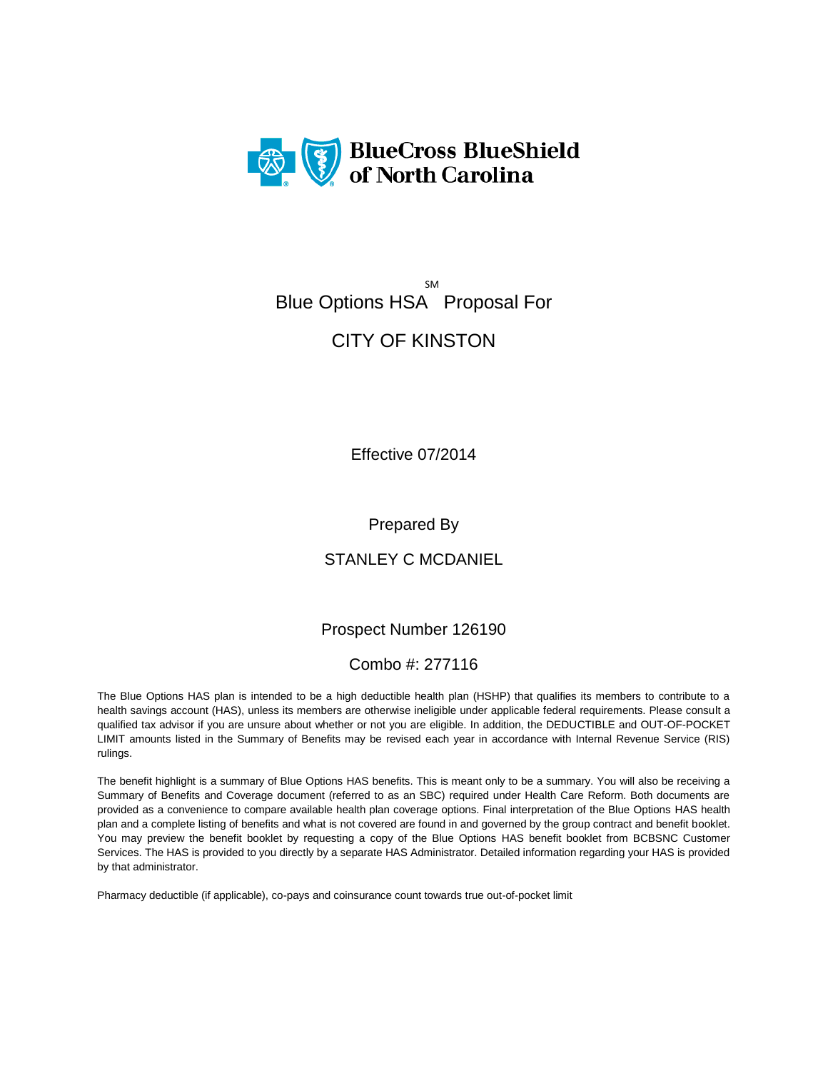

# SM Blue Options HSA Proposal For

# CITY OF KINSTON

Effective 07/2014

Prepared By

STANLEY C MCDANIEL

Prospect Number 126190

### Combo #: 277116

The Blue Options HAS plan is intended to be a high deductible health plan (HSHP) that qualifies its members to contribute to a health savings account (HAS), unless its members are otherwise ineligible under applicable federal requirements. Please consult a qualified tax advisor if you are unsure about whether or not you are eligible. In addition, the DEDUCTIBLE and OUT-OF-POCKET LIMIT amounts listed in the Summary of Benefits may be revised each year in accordance with Internal Revenue Service (RIS) rulings.

The benefit highlight is a summary of Blue Options HAS benefits. This is meant only to be a summary. You will also be receiving a Summary of Benefits and Coverage document (referred to as an SBC) required under Health Care Reform. Both documents are provided as a convenience to compare available health plan coverage options. Final interpretation of the Blue Options HAS health plan and a complete listing of benefits and what is not covered are found in and governed by the group contract and benefit booklet. You may preview the benefit booklet by requesting a copy of the Blue Options HAS benefit booklet from BCBSNC Customer Services. The HAS is provided to you directly by a separate HAS Administrator. Detailed information regarding your HAS is provided by that administrator.

Pharmacy deductible (if applicable), co-pays and coinsurance count towards true out-of-pocket limit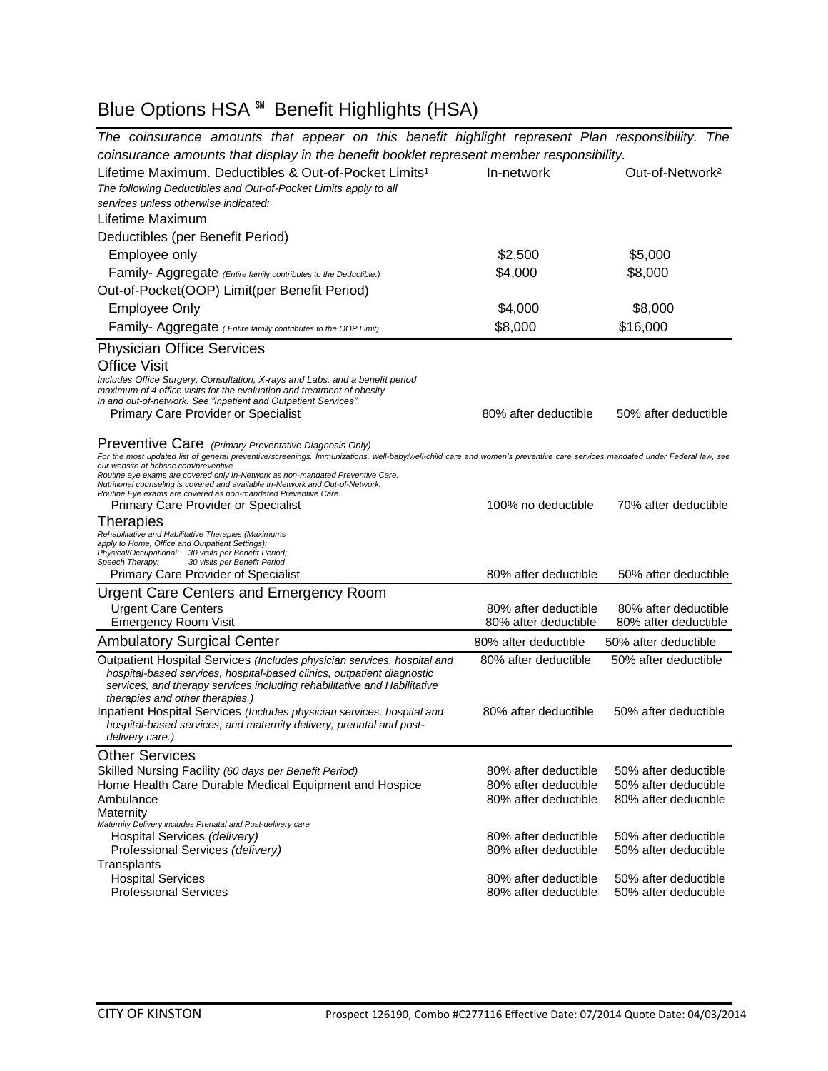# Blue Options HSA ℠ Benefit Highlights (HSA)

| The coinsurance amounts that appear on this benefit highlight represent Plan responsibility. The                                                                                                                   |                      |                             |  |
|--------------------------------------------------------------------------------------------------------------------------------------------------------------------------------------------------------------------|----------------------|-----------------------------|--|
| coinsurance amounts that display in the benefit booklet represent member responsibility.                                                                                                                           |                      |                             |  |
| Lifetime Maximum. Deductibles & Out-of-Pocket Limits <sup>1</sup>                                                                                                                                                  | In-network           | Out-of-Network <sup>2</sup> |  |
| The following Deductibles and Out-of-Pocket Limits apply to all                                                                                                                                                    |                      |                             |  |
| services unless otherwise indicated:                                                                                                                                                                               |                      |                             |  |
| Lifetime Maximum                                                                                                                                                                                                   |                      |                             |  |
| Deductibles (per Benefit Period)                                                                                                                                                                                   |                      |                             |  |
| Employee only                                                                                                                                                                                                      | \$2,500              | \$5,000                     |  |
| Family- Aggregate (Entire family contributes to the Deductible.)                                                                                                                                                   | \$4,000              | \$8,000                     |  |
| Out-of-Pocket(OOP) Limit(per Benefit Period)                                                                                                                                                                       |                      |                             |  |
| <b>Employee Only</b>                                                                                                                                                                                               | \$4,000              | \$8,000                     |  |
| Family- Aggregate (Entire family contributes to the OOP Limit)                                                                                                                                                     | \$8,000              | \$16,000                    |  |
|                                                                                                                                                                                                                    |                      |                             |  |
| <b>Physician Office Services</b>                                                                                                                                                                                   |                      |                             |  |
| <b>Office Visit</b><br>Includes Office Surgery, Consultation, X-rays and Labs, and a benefit period                                                                                                                |                      |                             |  |
| maximum of 4 office visits for the evaluation and treatment of obesity                                                                                                                                             |                      |                             |  |
| In and out-of-network. See "inpatient and Outpatient Services".<br><b>Primary Care Provider or Specialist</b>                                                                                                      | 80% after deductible | 50% after deductible        |  |
|                                                                                                                                                                                                                    |                      |                             |  |
| Preventive Care (Primary Preventative Diagnosis Only)                                                                                                                                                              |                      |                             |  |
| For the most updated list of general preventive/screenings. Immunizations, well-baby/well-child care and women's preventive care services mandated under Federal law, see<br>our website at bcbsnc.com/preventive. |                      |                             |  |
| Routine eye exams are covered only In-Network as non-mandated Preventive Care.                                                                                                                                     |                      |                             |  |
| Nutritional counseling is covered and available In-Network and Out-of-Network.<br>Routine Eye exams are covered as non-mandated Preventive Care.                                                                   |                      |                             |  |
| Primary Care Provider or Specialist                                                                                                                                                                                | 100% no deductible   | 70% after deductible        |  |
| Therapies                                                                                                                                                                                                          |                      |                             |  |
| Rehabilitative and Habilitative Therapies (Maximums<br>apply to Home, Office and Outpatient Settings):                                                                                                             |                      |                             |  |
| Physical/Occupational: 30 visits per Benefit Period;<br>30 visits per Benefit Period<br>Speech Therapy:                                                                                                            |                      |                             |  |
| <b>Primary Care Provider of Specialist</b>                                                                                                                                                                         | 80% after deductible | 50% after deductible        |  |
| <b>Urgent Care Centers and Emergency Room</b>                                                                                                                                                                      |                      |                             |  |
| <b>Urgent Care Centers</b>                                                                                                                                                                                         | 80% after deductible | 80% after deductible        |  |
| <b>Emergency Room Visit</b>                                                                                                                                                                                        | 80% after deductible | 80% after deductible        |  |
| <b>Ambulatory Surgical Center</b>                                                                                                                                                                                  | 80% after deductible | 50% after deductible        |  |
| Outpatient Hospital Services (Includes physician services, hospital and                                                                                                                                            | 80% after deductible | 50% after deductible        |  |
| hospital-based services, hospital-based clinics, outpatient diagnostic<br>services, and therapy services including rehabilitative and Habilitative                                                                 |                      |                             |  |
| therapies and other therapies.)                                                                                                                                                                                    |                      |                             |  |
| Inpatient Hospital Services (Includes physician services, hospital and                                                                                                                                             | 80% after deductible | 50% after deductible        |  |
| hospital-based services, and maternity delivery, prenatal and post-<br>delivery care.)                                                                                                                             |                      |                             |  |
| <b>Other Services</b>                                                                                                                                                                                              |                      |                             |  |
| Skilled Nursing Facility (60 days per Benefit Period)                                                                                                                                                              | 80% after deductible | 50% after deductible        |  |
| Home Health Care Durable Medical Equipment and Hospice                                                                                                                                                             | 80% after deductible | 50% after deductible        |  |
| Ambulance                                                                                                                                                                                                          | 80% after deductible | 80% after deductible        |  |
| Maternity                                                                                                                                                                                                          |                      |                             |  |
| Maternity Delivery includes Prenatal and Post-delivery care<br>Hospital Services (delivery)                                                                                                                        | 80% after deductible | 50% after deductible        |  |
| Professional Services (delivery)                                                                                                                                                                                   | 80% after deductible | 50% after deductible        |  |
| Transplants                                                                                                                                                                                                        |                      |                             |  |
| <b>Hospital Services</b>                                                                                                                                                                                           | 80% after deductible | 50% after deductible        |  |
| <b>Professional Services</b>                                                                                                                                                                                       | 80% after deductible | 50% after deductible        |  |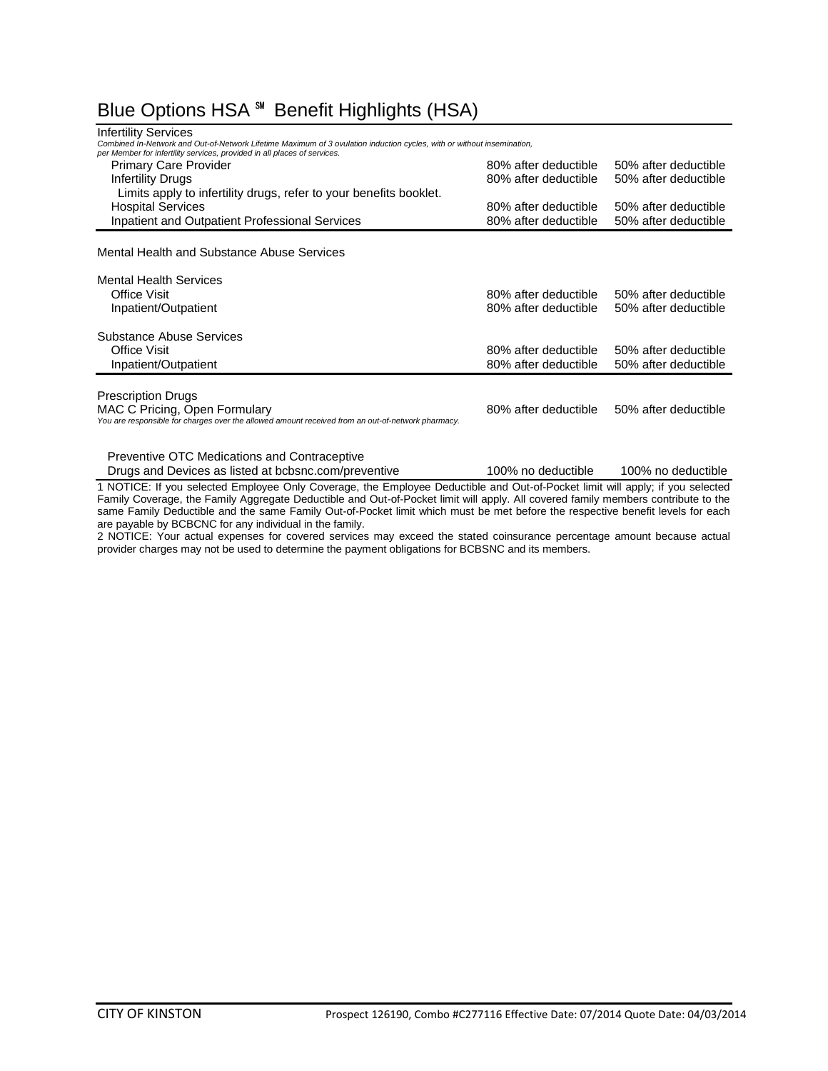## Blue Options HSA ℠ Benefit Highlights (HSA)

| <b>Infertility Services</b><br>Combined In-Network and Out-of-Network Lifetime Maximum of 3 ovulation induction cycles, with or without insemination, |                      |                      |
|-------------------------------------------------------------------------------------------------------------------------------------------------------|----------------------|----------------------|
| per Member for infertility services, provided in all places of services.                                                                              |                      |                      |
| <b>Primary Care Provider</b>                                                                                                                          | 80% after deductible | 50% after deductible |
| Infertility Drugs                                                                                                                                     | 80% after deductible | 50% after deductible |
| Limits apply to infertility drugs, refer to your benefits booklet.                                                                                    |                      |                      |
| <b>Hospital Services</b>                                                                                                                              | 80% after deductible | 50% after deductible |
| Inpatient and Outpatient Professional Services                                                                                                        | 80% after deductible | 50% after deductible |
|                                                                                                                                                       |                      |                      |
| Mental Health and Substance Abuse Services                                                                                                            |                      |                      |
| <b>Mental Health Services</b>                                                                                                                         |                      |                      |
| Office Visit                                                                                                                                          | 80% after deductible | 50% after deductible |
| Inpatient/Outpatient                                                                                                                                  | 80% after deductible | 50% after deductible |
|                                                                                                                                                       |                      |                      |
| Substance Abuse Services                                                                                                                              |                      |                      |
| Office Visit                                                                                                                                          | 80% after deductible | 50% after deductible |
| Inpatient/Outpatient                                                                                                                                  | 80% after deductible | 50% after deductible |
|                                                                                                                                                       |                      |                      |
| <b>Prescription Drugs</b>                                                                                                                             |                      |                      |
| MAC C Pricing, Open Formulary                                                                                                                         | 80% after deductible | 50% after deductible |
| You are responsible for charges over the allowed amount received from an out-of-network pharmacy.                                                     |                      |                      |
|                                                                                                                                                       |                      |                      |

Preventive OTC Medications and Contraceptive

Drugs and Devices as listed at bcbsnc.com/preventive 100% no deductible 100% no deductible

1 NOTICE: If you selected Employee Only Coverage, the Employee Deductible and Out-of-Pocket limit will apply; if you selected Family Coverage, the Family Aggregate Deductible and Out-of-Pocket limit will apply. All covered family members contribute to the same Family Deductible and the same Family Out-of-Pocket limit which must be met before the respective benefit levels for each are payable by BCBCNC for any individual in the family.

2 NOTICE: Your actual expenses for covered services may exceed the stated coinsurance percentage amount because actual provider charges may not be used to determine the payment obligations for BCBSNC and its members.